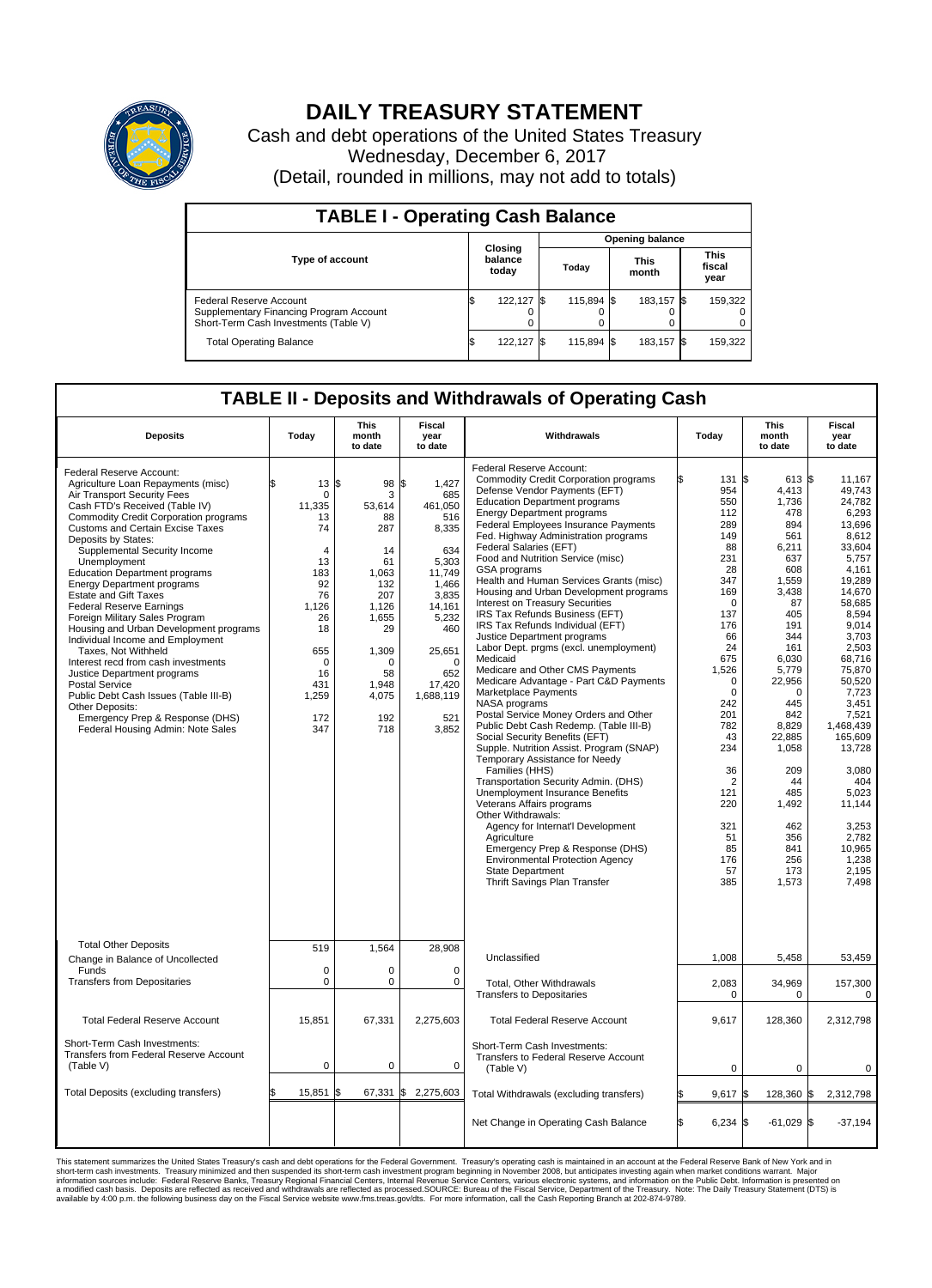

## **DAILY TREASURY STATEMENT**

Cash and debt operations of the United States Treasury Wednesday, December 6, 2017 (Detail, rounded in millions, may not add to totals)

| <b>TABLE I - Operating Cash Balance</b>                                                                     |    |                             |  |                        |  |                      |  |                               |  |  |  |
|-------------------------------------------------------------------------------------------------------------|----|-----------------------------|--|------------------------|--|----------------------|--|-------------------------------|--|--|--|
|                                                                                                             |    |                             |  | <b>Opening balance</b> |  |                      |  |                               |  |  |  |
| <b>Type of account</b>                                                                                      |    | Closing<br>balance<br>today |  | Todav                  |  | <b>This</b><br>month |  | <b>This</b><br>fiscal<br>year |  |  |  |
| Federal Reserve Account<br>Supplementary Financing Program Account<br>Short-Term Cash Investments (Table V) |    | 122,127                     |  | 115.894 \$             |  | 183,157 \$           |  | 159,322                       |  |  |  |
| <b>Total Operating Balance</b>                                                                              | ß. | 122,127                     |  | 115.894 \$             |  | 183,157 \$           |  | 159,322                       |  |  |  |

## **TABLE II - Deposits and Withdrawals of Operating Cash**

| <b>Deposits</b>                                                                                                                                                                                                                                                                                                                                                                                                                                                                                                                                                                                                                                                                                                                                                                                                      | Today                                                                                                                                                                | <b>This</b><br>month<br>to date                                                                                                                      | <b>Fiscal</b><br>year<br>to date                                                                                                                                                           | Withdrawals                                                                                                                                                                                                                                                                                                                                                                                                                                                                                                                                                                                                                                                                                                                                                                                                                                                                                                                                                                                                                                                                                                                                                                                                                                                                                                                        | Today                                                                                                                                                                                                                                                                         | <b>This</b><br>month<br>to date                                                                                                                                                                                                                                              | Fiscal<br>year<br>to date                                                                                                                                                                                                                                                                                                                 |  |
|----------------------------------------------------------------------------------------------------------------------------------------------------------------------------------------------------------------------------------------------------------------------------------------------------------------------------------------------------------------------------------------------------------------------------------------------------------------------------------------------------------------------------------------------------------------------------------------------------------------------------------------------------------------------------------------------------------------------------------------------------------------------------------------------------------------------|----------------------------------------------------------------------------------------------------------------------------------------------------------------------|------------------------------------------------------------------------------------------------------------------------------------------------------|--------------------------------------------------------------------------------------------------------------------------------------------------------------------------------------------|------------------------------------------------------------------------------------------------------------------------------------------------------------------------------------------------------------------------------------------------------------------------------------------------------------------------------------------------------------------------------------------------------------------------------------------------------------------------------------------------------------------------------------------------------------------------------------------------------------------------------------------------------------------------------------------------------------------------------------------------------------------------------------------------------------------------------------------------------------------------------------------------------------------------------------------------------------------------------------------------------------------------------------------------------------------------------------------------------------------------------------------------------------------------------------------------------------------------------------------------------------------------------------------------------------------------------------|-------------------------------------------------------------------------------------------------------------------------------------------------------------------------------------------------------------------------------------------------------------------------------|------------------------------------------------------------------------------------------------------------------------------------------------------------------------------------------------------------------------------------------------------------------------------|-------------------------------------------------------------------------------------------------------------------------------------------------------------------------------------------------------------------------------------------------------------------------------------------------------------------------------------------|--|
| Federal Reserve Account:<br>Agriculture Loan Repayments (misc)<br>Air Transport Security Fees<br>Cash FTD's Received (Table IV)<br><b>Commodity Credit Corporation programs</b><br><b>Customs and Certain Excise Taxes</b><br>Deposits by States:<br>Supplemental Security Income<br>Unemployment<br><b>Education Department programs</b><br><b>Energy Department programs</b><br><b>Estate and Gift Taxes</b><br><b>Federal Reserve Earnings</b><br>Foreign Military Sales Program<br>Housing and Urban Development programs<br>Individual Income and Employment<br>Taxes. Not Withheld<br>Interest recd from cash investments<br>Justice Department programs<br>Postal Service<br>Public Debt Cash Issues (Table III-B)<br>Other Deposits:<br>Emergency Prep & Response (DHS)<br>Federal Housing Admin: Note Sales | $13 \,$ $\uparrow$<br>\$.<br>0<br>11,335<br>13<br>74<br>$\overline{4}$<br>13<br>183<br>92<br>76<br>1.126<br>26<br>18<br>655<br>0<br>16<br>431<br>1,259<br>172<br>347 | 98<br>3<br>53,614<br>88<br>287<br>14<br>61<br>1,063<br>132<br>207<br>1.126<br>1,655<br>29<br>1,309<br>$\Omega$<br>58<br>1,948<br>4,075<br>192<br>718 | \$<br>1.427<br>685<br>461,050<br>516<br>8,335<br>634<br>5,303<br>11,749<br>1,466<br>3,835<br>14,161<br>5,232<br>460<br>25,651<br>$\mathbf 0$<br>652<br>17,420<br>1,688,119<br>521<br>3,852 | Federal Reserve Account:<br><b>Commodity Credit Corporation programs</b><br>Defense Vendor Payments (EFT)<br><b>Education Department programs</b><br><b>Energy Department programs</b><br><b>Federal Employees Insurance Payments</b><br>Fed. Highway Administration programs<br>Federal Salaries (EFT)<br>Food and Nutrition Service (misc)<br><b>GSA</b> programs<br>Health and Human Services Grants (misc)<br>Housing and Urban Development programs<br>Interest on Treasury Securities<br>IRS Tax Refunds Business (EFT)<br>IRS Tax Refunds Individual (EFT)<br>Justice Department programs<br>Labor Dept. prgms (excl. unemployment)<br>Medicaid<br>Medicare and Other CMS Payments<br>Medicare Advantage - Part C&D Payments<br>Marketplace Payments<br>NASA programs<br>Postal Service Money Orders and Other<br>Public Debt Cash Redemp. (Table III-B)<br>Social Security Benefits (EFT)<br>Supple. Nutrition Assist. Program (SNAP)<br>Temporary Assistance for Needy<br>Families (HHS)<br>Transportation Security Admin. (DHS)<br>Unemployment Insurance Benefits<br>Veterans Affairs programs<br>Other Withdrawals:<br>Agency for Internat'l Development<br>Agriculture<br>Emergency Prep & Response (DHS)<br><b>Environmental Protection Agency</b><br><b>State Department</b><br><b>Thrift Savings Plan Transfer</b> | 131 \$<br>954<br>550<br>112<br>289<br>149<br>88<br>231<br>28<br>347<br>169<br>$\Omega$<br>137<br>176<br>66<br>24<br>675<br>1,526<br>$\mathbf 0$<br>$\mathbf 0$<br>242<br>201<br>782<br>43<br>234<br>36<br>$\overline{2}$<br>121<br>220<br>321<br>51<br>85<br>176<br>57<br>385 | 613 \$<br>4,413<br>1,736<br>478<br>894<br>561<br>6,211<br>637<br>608<br>1,559<br>3,438<br>87<br>405<br>191<br>344<br>161<br>6.030<br>5,779<br>22,956<br>0<br>445<br>842<br>8,829<br>22,885<br>1,058<br>209<br>44<br>485<br>1,492<br>462<br>356<br>841<br>256<br>173<br>1,573 | 11,167<br>49.743<br>24,782<br>6,293<br>13,696<br>8.612<br>33,604<br>5,757<br>4.161<br>19.289<br>14,670<br>58,685<br>8.594<br>9,014<br>3,703<br>2,503<br>68.716<br>75,870<br>50,520<br>7,723<br>3,451<br>7.521<br>1,468,439<br>165.609<br>13,728<br>3,080<br>404<br>5.023<br>11,144<br>3,253<br>2,782<br>10,965<br>1,238<br>2.195<br>7,498 |  |
| <b>Total Other Deposits</b><br>Change in Balance of Uncollected                                                                                                                                                                                                                                                                                                                                                                                                                                                                                                                                                                                                                                                                                                                                                      | 519                                                                                                                                                                  | 1,564                                                                                                                                                | 28,908                                                                                                                                                                                     | Unclassified                                                                                                                                                                                                                                                                                                                                                                                                                                                                                                                                                                                                                                                                                                                                                                                                                                                                                                                                                                                                                                                                                                                                                                                                                                                                                                                       | 1,008                                                                                                                                                                                                                                                                         | 5,458                                                                                                                                                                                                                                                                        | 53,459                                                                                                                                                                                                                                                                                                                                    |  |
| Funds<br><b>Transfers from Depositaries</b>                                                                                                                                                                                                                                                                                                                                                                                                                                                                                                                                                                                                                                                                                                                                                                          | $\mathbf 0$<br>$\pmb{0}$                                                                                                                                             | $\Omega$<br>0                                                                                                                                        | $\Omega$<br>0                                                                                                                                                                              | Total, Other Withdrawals<br><b>Transfers to Depositaries</b>                                                                                                                                                                                                                                                                                                                                                                                                                                                                                                                                                                                                                                                                                                                                                                                                                                                                                                                                                                                                                                                                                                                                                                                                                                                                       | 2,083<br>$\mathbf 0$                                                                                                                                                                                                                                                          | 34,969<br>0                                                                                                                                                                                                                                                                  | 157,300<br>$\mathbf 0$                                                                                                                                                                                                                                                                                                                    |  |
| <b>Total Federal Reserve Account</b>                                                                                                                                                                                                                                                                                                                                                                                                                                                                                                                                                                                                                                                                                                                                                                                 | 15,851                                                                                                                                                               | 67,331                                                                                                                                               | 2,275,603                                                                                                                                                                                  | <b>Total Federal Reserve Account</b>                                                                                                                                                                                                                                                                                                                                                                                                                                                                                                                                                                                                                                                                                                                                                                                                                                                                                                                                                                                                                                                                                                                                                                                                                                                                                               | 9,617                                                                                                                                                                                                                                                                         | 128,360                                                                                                                                                                                                                                                                      | 2,312,798                                                                                                                                                                                                                                                                                                                                 |  |
| Short-Term Cash Investments:<br>Transfers from Federal Reserve Account<br>(Table V)                                                                                                                                                                                                                                                                                                                                                                                                                                                                                                                                                                                                                                                                                                                                  | $\mathbf 0$                                                                                                                                                          | 0                                                                                                                                                    | $\mathbf 0$                                                                                                                                                                                | Short-Term Cash Investments:<br>Transfers to Federal Reserve Account<br>(Table V)                                                                                                                                                                                                                                                                                                                                                                                                                                                                                                                                                                                                                                                                                                                                                                                                                                                                                                                                                                                                                                                                                                                                                                                                                                                  | $\mathbf 0$                                                                                                                                                                                                                                                                   | 0                                                                                                                                                                                                                                                                            | 0                                                                                                                                                                                                                                                                                                                                         |  |
| Total Deposits (excluding transfers)                                                                                                                                                                                                                                                                                                                                                                                                                                                                                                                                                                                                                                                                                                                                                                                 | 15,851                                                                                                                                                               |                                                                                                                                                      | 67,331 \$ 2,275,603                                                                                                                                                                        | Total Withdrawals (excluding transfers)                                                                                                                                                                                                                                                                                                                                                                                                                                                                                                                                                                                                                                                                                                                                                                                                                                                                                                                                                                                                                                                                                                                                                                                                                                                                                            | 9,617                                                                                                                                                                                                                                                                         | 128,360 \$                                                                                                                                                                                                                                                                   | 2,312,798                                                                                                                                                                                                                                                                                                                                 |  |
|                                                                                                                                                                                                                                                                                                                                                                                                                                                                                                                                                                                                                                                                                                                                                                                                                      |                                                                                                                                                                      |                                                                                                                                                      |                                                                                                                                                                                            | Net Change in Operating Cash Balance                                                                                                                                                                                                                                                                                                                                                                                                                                                                                                                                                                                                                                                                                                                                                                                                                                                                                                                                                                                                                                                                                                                                                                                                                                                                                               | l\$<br>$6,234$ \$                                                                                                                                                                                                                                                             | $-61,029$ \$                                                                                                                                                                                                                                                                 | $-37,194$                                                                                                                                                                                                                                                                                                                                 |  |

This statement summarizes the United States Treasury's cash and debt operations for the Federal Government. Treasury operating in November 2008, but anticinates investing again when market conditions warrant. Major York an